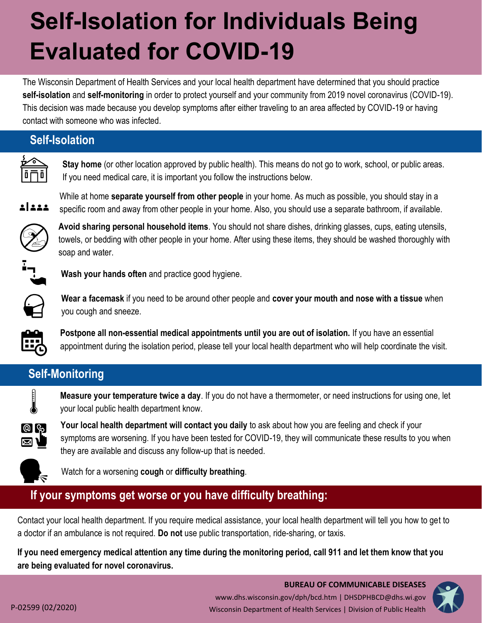# **Self-Isolation for Individuals Being Evaluated for COVID-19**

The Wisconsin Department of Health Services and your local health department have determined that you should practice **self-isolation** and **self-monitoring** in order to protect yourself and your community from 2019 novel coronavirus (COVID-19). This decision was made because you develop symptoms after either traveling to an area affected by COVID-19 or having contact with someone who was infected.

#### **Self-Isolation**

**Stay home** (or other location approved by public health). This means do not go to work, school, or public areas. If you need medical care, it is important you follow the instructions below.



While at home **separate yourself from other people** in your home. As much as possible, you should stay in a specific room and away from other people in your home. Also, you should use a separate bathroom, if available.



**Avoid sharing personal household items**. You should not share dishes, drinking glasses, cups, eating utensils, towels, or bedding with other people in your home. After using these items, they should be washed thoroughly with soap and water.



**Wash your hands often** and practice good hygiene.



**Wear a facemask** if you need to be around other people and **cover your mouth and nose with a tissue** when you cough and sneeze.

**Postpone all non-essential medical appointments until you are out of isolation.** If you have an essential appointment during the isolation period, please tell your local health department who will help coordinate the visit.

## **Self-Monitoring**



**Measure your temperature twice a day**. If you do not have a thermometer, or need instructions for using one, let your local public health department know.



**Your local health department will contact you daily** to ask about how you are feeling and check if your symptoms are worsening. If you have been tested for COVID-19, they will communicate these results to you when they are available and discuss any follow-up that is needed.



Watch for a worsening **cough** or **difficulty breathing**.

## **If your symptoms get worse or you have difficulty breathing:**

Contact your local health department. If you require medical assistance, your local health department will tell you how to get to a doctor if an ambulance is not required. **Do not** use public transportation, ride-sharing, or taxis.

**If you need emergency medical attention any time during the monitoring period, call 911 and let them know that you are being evaluated for novel coronavirus.**